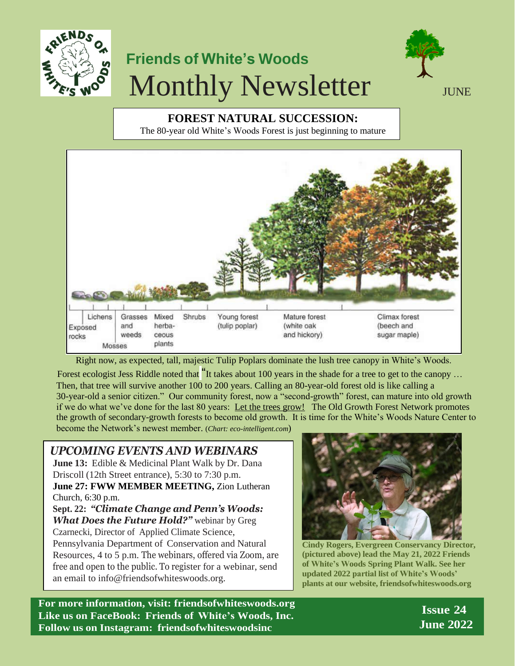

## **Friends of White's Woods** Monthly Newsletter  $\sum_{JUNE}$



**FOREST NATURAL SUCCESSION:**  The 80-year old White's Woods Forest is just beginning to mature



Right now, as expected, tall, majestic Tulip Poplars dominate the lush tree canopy in White's Woods.

Forest ecologist Jess Riddle noted that "It takes about 100 years in the shade for a tree to get to the canopy ... Then, that tree will survive another 100 to 200 years. Calling an 80-year-old forest old is like calling a 30-year-old a senior citizen." Our community forest, now a "second-growth" forest, can mature into old growth if we do what we've done for the last 80 years: Let the trees grow! The Old Growth Forest Network promotes the growth of secondary-growth forests to become old growth. It is time for the White's Woods Nature Center to become the Network's newest member. (*Chart: eco-intelligent.com*)

*UPCOMING EVENTS AND WEBINARS*

**June 13:** Edible & Medicinal Plant Walk by Dr. Dana Driscoll (12th Street entrance), 5:30 to 7:30 p.m. **June 27: FWW MEMBER MEETING,** Zion Lutheran Church, 6:30 p.m.

**Sept. 22:** *"Climate Change and Penn's Woods: What Does the Future Hold?"* webinar by Greg Czarnecki, Director of Applied Climate Science, Pennsylvania Department of Conservation and Natural Resources, 4 to 5 p.m. The webinars, offered via Zoom, are free and open to the public. To register for a webinar, send an email to [info@friendsofwhiteswoods.org.](mailto:info@friendsofwhiteswoods.org)



**Cindy Rogers, Evergreen Conservancy Director, (pictured above) lead the May 21, 2022 Friends of White's Woods Spring Plant Walk. See her updated 2022 partial list of White's Woods' plants at our website, friendsofwhiteswoods.org**

**For more information, visit: friendsofwhiteswoods.org Like us on FaceBook: Friends of White's Woods, Inc. Follow us on Instagram: friendsofwhiteswoodsinc**

 **Issue 24 June 2022**